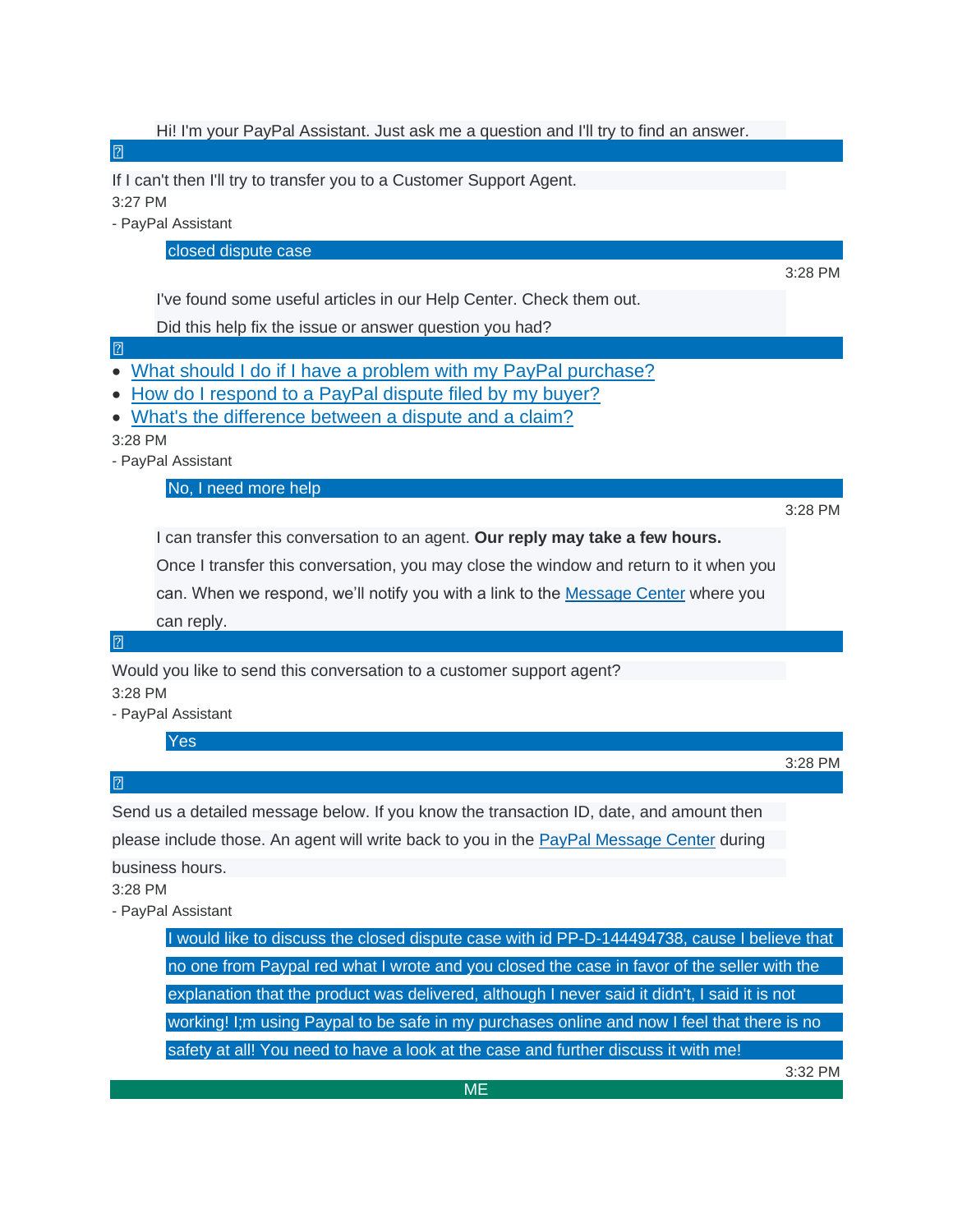Hi! I'm your PayPal Assistant. Just ask me a question and I'll try to find an answer.  $\sqrt{2}$ If I can't then I'll try to transfer you to a Customer Support Agent. 3:27 PM - PayPal Assistant closed dispute case 3:28 PM I've found some useful articles in our Help Center. Check them out. Did this help fix the issue or answer question you had?  $\sqrt{2}$ • [What should I do if I have a problem with my PayPal purchase?](https://www.paypal.com/smarthelp/article/FAQ1344) • [How do I respond to a PayPal dispute filed by my buyer?](https://www.paypal.com/smarthelp/article/FAQ2266) • [What's the difference between a dispute and a claim?](https://www.paypal.com/smarthelp/article/FAQ2337) 3:28 PM - PayPal Assistant No, I need more help 3:28 PM I can transfer this conversation to an agent. **Our reply may take a few hours.** Once I transfer this conversation, you may close the window and return to it when you can. When we respond, we'll notify you with a link to the [Message Center](https://www.paypal.com/smc/customer/) where you can reply.  $\boxed{2}$ Would you like to send this conversation to a customer support agent? 3:28 PM - PayPal Assistant Yes 3:28 PM  $\overline{2}$ Send us a detailed message below. If you know the transaction ID, date, and amount then please include those. An agent will write back to you in the [PayPal Message Center](https://www.paypal.com/smc/customer/) during business hours. 3:28 PM - PayPal Assistant I would like to discuss the closed dispute case with id PP-D-144494738, cause I believe that no one from Paypal red what I wrote and you closed the case in favor of the seller with the explanation that the product was delivered, although I never said it didn't, I said it is not working! I;m using Paypal to be safe in my purchases online and now I feel that there is no safety at all! You need to have a look at the case and further discuss it with me! 3:32 PM ME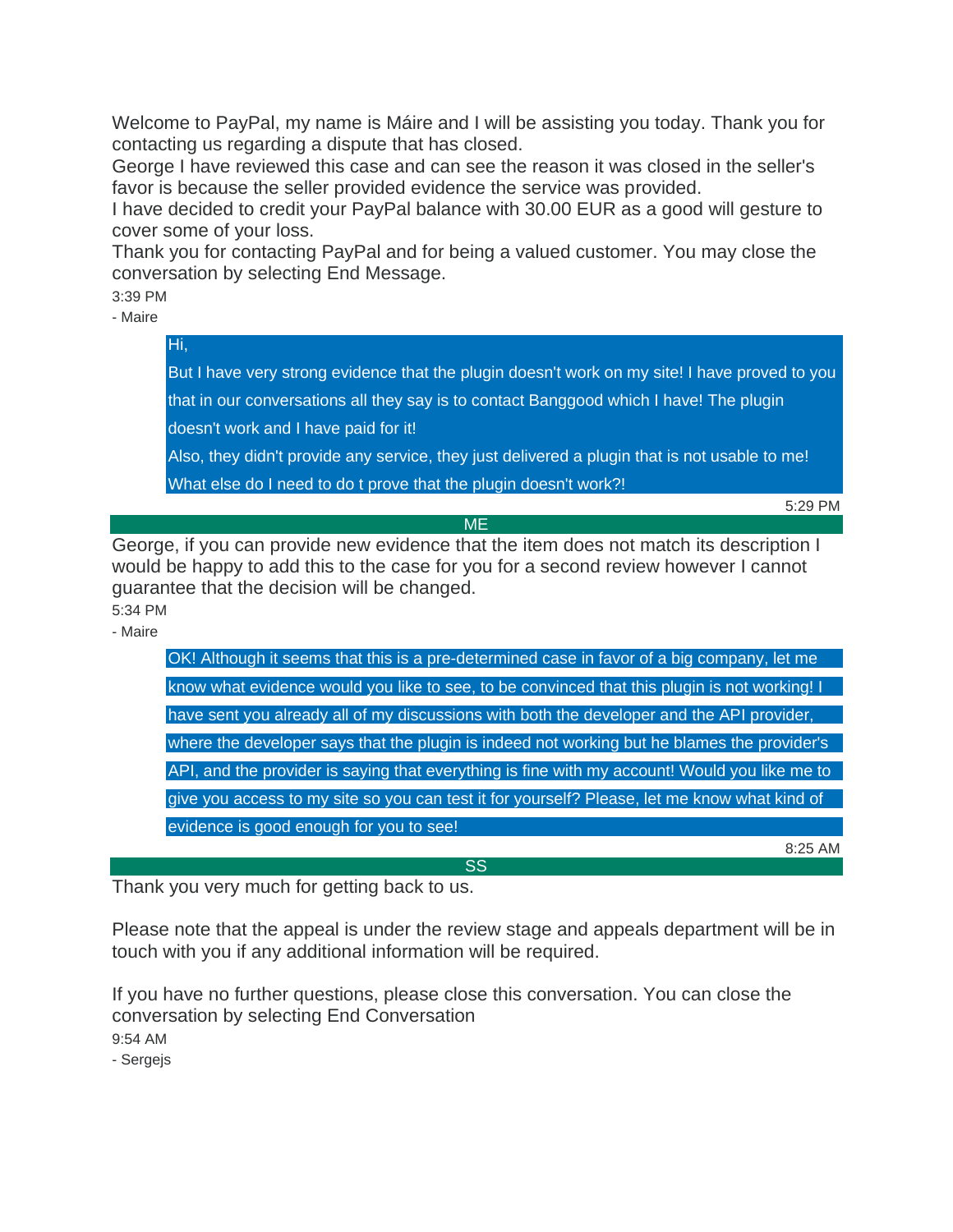Welcome to PayPal, my name is Máire and I will be assisting you today. Thank you for contacting us regarding a dispute that has closed.

George I have reviewed this case and can see the reason it was closed in the seller's favor is because the seller provided evidence the service was provided.

I have decided to credit your PayPal balance with 30.00 EUR as a good will gesture to cover some of your loss.

Thank you for contacting PayPal and for being a valued customer. You may close the conversation by selecting End Message.

3:39 PM

Hi,

- Maire

But I have very strong evidence that the plugin doesn't work on my site! I have proved to you that in our conversations all they say is to contact Banggood which I have! The plugin doesn't work and I have paid for it!

Also, they didn't provide any service, they just delivered a plugin that is not usable to me! What else do I need to do t prove that the plugin doesn't work?!

5:29 PM

George, if you can provide new evidence that the item does not match its description I would be happy to add this to the case for you for a second review however I cannot guarantee that the decision will be changed.

ME

5:34 PM

- Maire

| OK! Although it seems that this is a pre-determined case in favor of a big company, let me    |
|-----------------------------------------------------------------------------------------------|
| know what evidence would you like to see, to be convinced that this plugin is not working! I  |
| have sent you already all of my discussions with both the developer and the API provider,     |
| where the developer says that the plugin is indeed not working but he blames the provider's   |
| API, and the provider is saying that everything is fine with my account! Would you like me to |
| give you access to my site so you can test it for yourself? Please, let me know what kind of  |
| evidence is good enough for you to see!                                                       |
| 8:25 AM                                                                                       |

SS

Thank you very much for getting back to us.

Please note that the appeal is under the review stage and appeals department will be in touch with you if any additional information will be required.

If you have no further questions, please close this conversation. You can close the conversation by selecting End Conversation

9:54 AM

- Sergejs